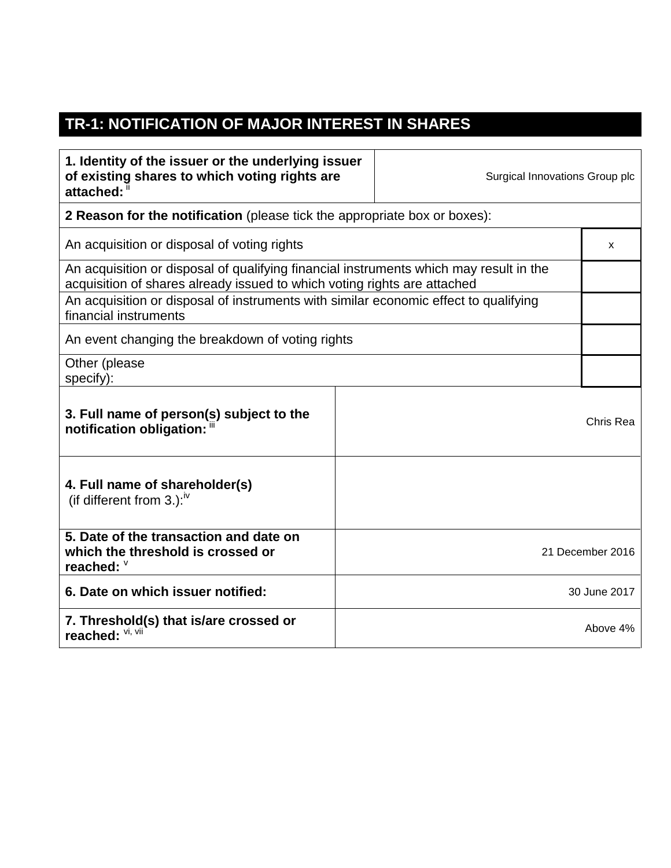## **TR-1: NOTIFICATION OF MAJOR INTEREST IN SHARES**

 $\Gamma$ 

| 1. Identity of the issuer or the underlying issuer<br>of existing shares to which voting rights are<br>attached: "                                                 |  | Surgical Innovations Group plc |                  |
|--------------------------------------------------------------------------------------------------------------------------------------------------------------------|--|--------------------------------|------------------|
| <b>2 Reason for the notification</b> (please tick the appropriate box or boxes):                                                                                   |  |                                |                  |
| An acquisition or disposal of voting rights                                                                                                                        |  |                                | x                |
| An acquisition or disposal of qualifying financial instruments which may result in the<br>acquisition of shares already issued to which voting rights are attached |  |                                |                  |
| An acquisition or disposal of instruments with similar economic effect to qualifying<br>financial instruments                                                      |  |                                |                  |
| An event changing the breakdown of voting rights                                                                                                                   |  |                                |                  |
| Other (please<br>specify):                                                                                                                                         |  |                                |                  |
| 3. Full name of person(s) subject to the<br>notification obligation: "                                                                                             |  |                                | Chris Rea        |
| 4. Full name of shareholder(s)<br>(if different from 3.): $W$                                                                                                      |  |                                |                  |
| 5. Date of the transaction and date on<br>which the threshold is crossed or<br>reached: V                                                                          |  |                                | 21 December 2016 |
| 6. Date on which issuer notified:                                                                                                                                  |  |                                | 30 June 2017     |
| 7. Threshold(s) that is/are crossed or<br>reached: VI, VII                                                                                                         |  |                                | Above 4%         |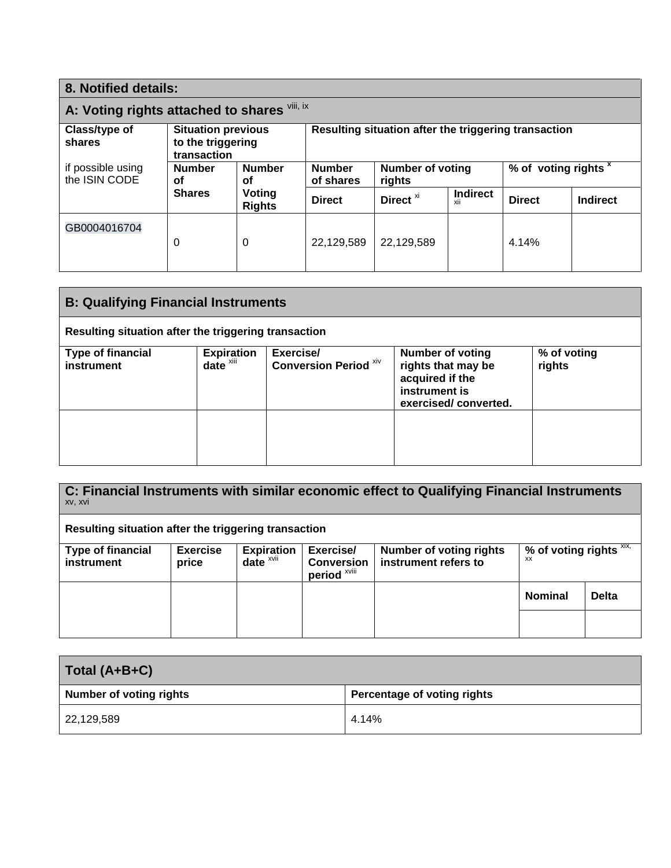| 8. Notified details:                         |                                                               |                         |                                                      |                                   |                        |                                 |                 |
|----------------------------------------------|---------------------------------------------------------------|-------------------------|------------------------------------------------------|-----------------------------------|------------------------|---------------------------------|-----------------|
| A: Voting rights attached to shares Vili, ix |                                                               |                         |                                                      |                                   |                        |                                 |                 |
| Class/type of<br>shares                      | <b>Situation previous</b><br>to the triggering<br>transaction |                         | Resulting situation after the triggering transaction |                                   |                        |                                 |                 |
| if possible using<br>the ISIN CODE           | <b>Number</b><br>οf                                           | <b>Number</b><br>οf     | <b>Number</b><br>of shares                           | <b>Number of voting</b><br>rights |                        | % of voting rights <sup>x</sup> |                 |
|                                              | <b>Shares</b>                                                 | Voting<br><b>Rights</b> | <b>Direct</b>                                        | Direct <sup>xi</sup>              | <b>Indirect</b><br>XII | <b>Direct</b>                   | <b>Indirect</b> |
| GB0004016704                                 | 0                                                             | $\Omega$                | 22,129,589                                           | 22,129,589                        |                        | 4.14%                           |                 |

| <b>B: Qualifying Financial Instruments</b>           |                                    |                                           |                                                                                                           |                       |
|------------------------------------------------------|------------------------------------|-------------------------------------------|-----------------------------------------------------------------------------------------------------------|-----------------------|
| Resulting situation after the triggering transaction |                                    |                                           |                                                                                                           |                       |
| <b>Type of financial</b><br>instrument               | Expiration<br>date <sup>xiii</sup> | Exercise/<br><b>Conversion Period Xiv</b> | <b>Number of voting</b><br>rights that may be<br>acquired if the<br>instrument is<br>exercised/converted. | % of voting<br>rights |
|                                                      |                                    |                                           |                                                                                                           |                       |

**C: Financial Instruments with similar economic effect to Qualifying Financial Instruments** xv, xvi **Resulting situation after the triggering transaction Type of financial instrument Exercise price Expiration date** xvii **Exercise/ Conversion period** xviii **Number of voting rights instrument refers to % of voting rights** xix, xx **Nominal Delta**

| Total (A+B+C)                  |                             |  |
|--------------------------------|-----------------------------|--|
| <b>Number of voting rights</b> | Percentage of voting rights |  |
| 22,129,589                     | 4.14%                       |  |